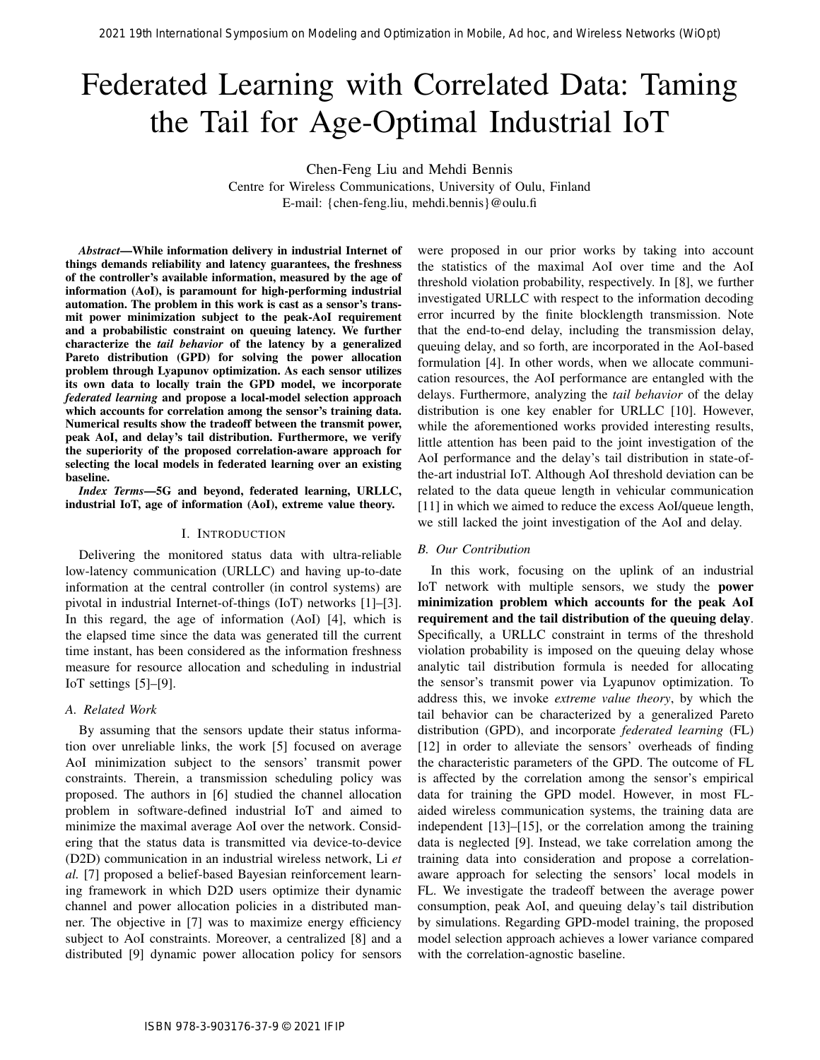# Federated Learning with Correlated Data: Taming the Tail for Age-Optimal Industrial IoT

Chen-Feng Liu and Mehdi Bennis

Centre for Wireless Communications, University of Oulu, Finland E-mail: {chen-feng.liu, mehdi.bennis}@oulu.fi

*Abstract*—While information delivery in industrial Internet of things demands reliability and latency guarantees, the freshness of the controller's available information, measured by the age of information (AoI), is paramount for high-performing industrial automation. The problem in this work is cast as a sensor's transmit power minimization subject to the peak-AoI requirement and a probabilistic constraint on queuing latency. We further characterize the *tail behavior* of the latency by a generalized Pareto distribution (GPD) for solving the power allocation problem through Lyapunov optimization. As each sensor utilizes its own data to locally train the GPD model, we incorporate *federated learning* and propose a local-model selection approach which accounts for correlation among the sensor's training data. Numerical results show the tradeoff between the transmit power, peak AoI, and delay's tail distribution. Furthermore, we verify the superiority of the proposed correlation-aware approach for selecting the local models in federated learning over an existing baseline.

*Index Terms*—5G and beyond, federated learning, URLLC, industrial IoT, age of information (AoI), extreme value theory.

# I. INTRODUCTION

Delivering the monitored status data with ultra-reliable low-latency communication (URLLC) and having up-to-date information at the central controller (in control systems) are pivotal in industrial Internet-of-things (IoT) networks [1]–[3]. In this regard, the age of information (AoI) [4], which is the elapsed time since the data was generated till the current time instant, has been considered as the information freshness measure for resource allocation and scheduling in industrial IoT settings [5]–[9].

#### *A. Related Work*

By assuming that the sensors update their status information over unreliable links, the work [5] focused on average AoI minimization subject to the sensors' transmit power constraints. Therein, a transmission scheduling policy was proposed. The authors in [6] studied the channel allocation problem in software-defined industrial IoT and aimed to minimize the maximal average AoI over the network. Considering that the status data is transmitted via device-to-device (D2D) communication in an industrial wireless network, Li *et al.* [7] proposed a belief-based Bayesian reinforcement learning framework in which D2D users optimize their dynamic channel and power allocation policies in a distributed manner. The objective in [7] was to maximize energy efficiency subject to AoI constraints. Moreover, a centralized [8] and a distributed [9] dynamic power allocation policy for sensors were proposed in our prior works by taking into account the statistics of the maximal AoI over time and the AoI threshold violation probability, respectively. In [8], we further investigated URLLC with respect to the information decoding error incurred by the finite blocklength transmission. Note that the end-to-end delay, including the transmission delay, queuing delay, and so forth, are incorporated in the AoI-based formulation [4]. In other words, when we allocate communication resources, the AoI performance are entangled with the delays. Furthermore, analyzing the *tail behavior* of the delay distribution is one key enabler for URLLC [10]. However, while the aforementioned works provided interesting results, little attention has been paid to the joint investigation of the AoI performance and the delay's tail distribution in state-ofthe-art industrial IoT. Although AoI threshold deviation can be related to the data queue length in vehicular communication [11] in which we aimed to reduce the excess AoI/queue length, we still lacked the joint investigation of the AoI and delay.

## *B. Our Contribution*

In this work, focusing on the uplink of an industrial IoT network with multiple sensors, we study the power minimization problem which accounts for the peak AoI requirement and the tail distribution of the queuing delay. Specifically, a URLLC constraint in terms of the threshold violation probability is imposed on the queuing delay whose analytic tail distribution formula is needed for allocating the sensor's transmit power via Lyapunov optimization. To address this, we invoke *extreme value theory*, by which the tail behavior can be characterized by a generalized Pareto distribution (GPD), and incorporate *federated learning* (FL) [12] in order to alleviate the sensors' overheads of finding the characteristic parameters of the GPD. The outcome of FL is affected by the correlation among the sensor's empirical data for training the GPD model. However, in most FLaided wireless communication systems, the training data are independent [13]–[15], or the correlation among the training data is neglected [9]. Instead, we take correlation among the training data into consideration and propose a correlationaware approach for selecting the sensors' local models in FL. We investigate the tradeoff between the average power consumption, peak AoI, and queuing delay's tail distribution by simulations. Regarding GPD-model training, the proposed model selection approach achieves a lower variance compared with the correlation-agnostic baseline. 2021 19th International Symposium on Modeling and Optimization International Corresponding and Network Corresponding and Network Corresponding and Network Corresponding and Networks Network Corresponding and Network Corre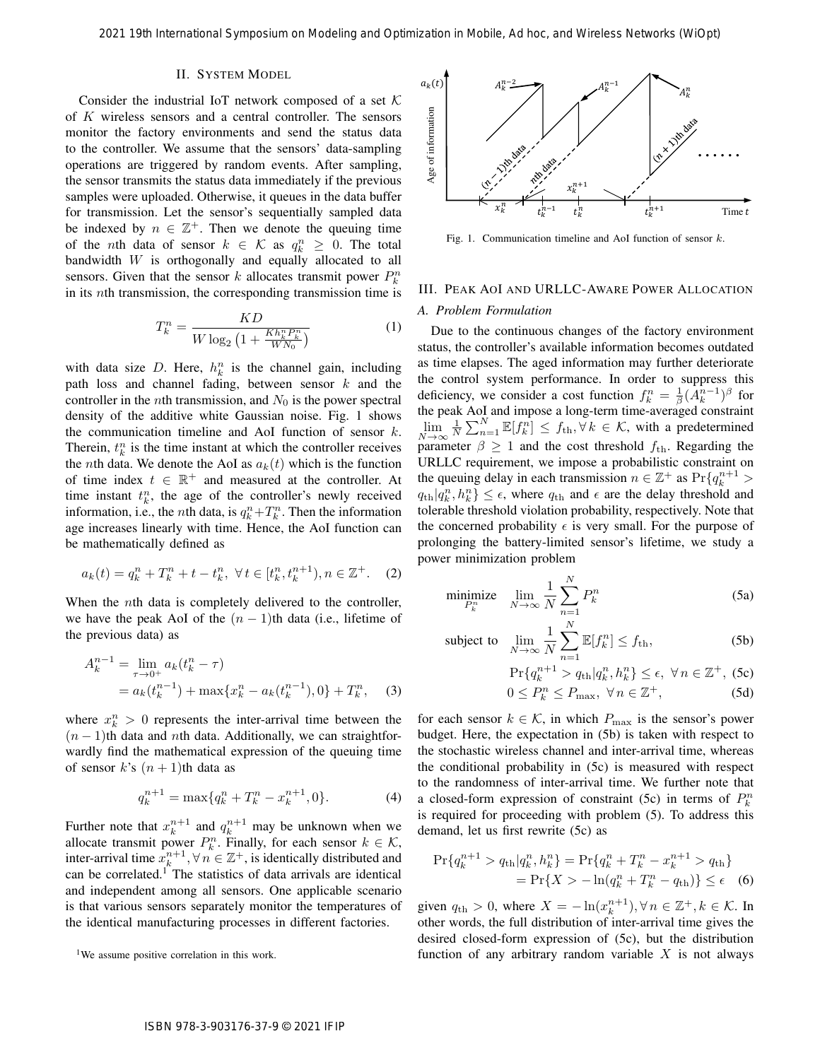#### II. SYSTEM MODEL

Consider the industrial IoT network composed of a set  $K$ of K wireless sensors and a central controller. The sensors monitor the factory environments and send the status data to the controller. We assume that the sensors' data-sampling operations are triggered by random events. After sampling, the sensor transmits the status data immediately if the previous samples were uploaded. Otherwise, it queues in the data buffer for transmission. Let the sensor's sequentially sampled data be indexed by  $n \in \mathbb{Z}^+$ . Then we denote the queuing time of the *n*th data of sensor  $k \in \mathcal{K}$  as  $q_k^n \geq 0$ . The total bandwidth  $W$  is orthogonally and equally allocated to all sensors. Given that the sensor k allocates transmit power  $P_k^n$ in its nth transmission, the corresponding transmission time is

$$
T_k^n = \frac{KD}{W \log_2 \left(1 + \frac{Kh_k^n P_k^n}{W N_0}\right)}\tag{1}
$$

with data size D. Here,  $h_k^n$  is the channel gain, including path loss and channel fading, between sensor  $k$  and the controller in the *n*th transmission, and  $N_0$  is the power spectral density of the additive white Gaussian noise. Fig. 1 shows the communication timeline and AoI function of sensor  $k$ . Therein,  $t_k^n$  is the time instant at which the controller receives the *n*th data. We denote the AoI as  $a_k(t)$  which is the function of time index  $t \in \mathbb{R}^+$  and measured at the controller. At time instant  $t_k^n$ , the age of the controller's newly received information, i.e., the *n*th data, is  $q_k^n + T_k^n$ . Then the information age increases linearly with time. Hence, the AoI function can be mathematically defined as

$$
a_k(t) = q_k^n + T_k^n + t - t_k^n, \ \forall t \in [t_k^n, t_k^{n+1}), n \in \mathbb{Z}^+.
$$
 (2)

When the *n*th data is completely delivered to the controller, we have the peak AoI of the  $(n - 1)$ th data (i.e., lifetime of the previous data) as

$$
A_k^{n-1} = \lim_{\tau \to 0^+} a_k (t_k^n - \tau)
$$
  
=  $a_k (t_k^{n-1}) + \max\{x_k^n - a_k (t_k^{n-1}), 0\} + T_k^n,$  (3)

where  $x_k^n > 0$  represents the inter-arrival time between the  $(n - 1)$ th data and *n*th data. Additionally, we can straightforwardly find the mathematical expression of the queuing time of sensor k's  $(n + 1)$ th data as

$$
q_k^{n+1} = \max\{q_k^n + T_k^n - x_k^{n+1}, 0\}.
$$
 (4)

Further note that  $x_k^{n+1}$  and  $q_k^{n+1}$  may be unknown when we allocate transmit power  $P_k^n$ . Finally, for each sensor  $k \in \mathcal{K}$ , inter-arrival time  $x_k^{n+1}$ ,  $\forall n \in \mathbb{Z}^+$ , is identically distributed and can be correlated.<sup>1</sup> The statistics of data arrivals are identical and independent among all sensors. One applicable scenario is that various sensors separately monitor the temperatures of the identical manufacturing processes in different factories.



Fig. 1. Communication timeline and AoI function of sensor k.

# III. PEAK AOI AND URLLC-AWARE POWER ALLOCATION *A. Problem Formulation*

Due to the continuous changes of the factory environment status, the controller's available information becomes outdated as time elapses. The aged information may further deteriorate the control system performance. In order to suppress this deficiency, we consider a cost function  $f_k^n = \frac{1}{\beta} (\overline{A_k^{n-1}})^\beta$  for the peak AoI and impose a long-term time-averaged constraint  $\lim_{N\to\infty}$  $\frac{1}{N} \sum_{n=1}^{N} \mathbb{E}[f_k^n] \leq f_{\text{th}}, \forall k \in \mathcal{K}$ , with a predetermined parameter  $\beta \geq 1$  and the cost threshold  $f_{\text{th}}$ . Regarding the URLLC requirement, we impose a probabilistic constraint on the queuing delay in each transmission  $n \in \mathbb{Z}^+$  as  $Pr\{q_k^{n+1} >$  $q_{\text{th}}|q_k^n, h_k^n\} \leq \epsilon$ , where  $q_{\text{th}}$  and  $\epsilon$  are the delay threshold and tolerable threshold violation probability, respectively. Note that the concerned probability  $\epsilon$  is very small. For the purpose of prolonging the battery-limited sensor's lifetime, we study a power minimization problem 2021 19th International Symposium on Modeling and Optimization in Modeling and  $\ell$  The Constraints Symposium of Modeling and Account 2014 (Windows And the constraints and Account 2014) (Windows And Account 2014) (Windows

$$
\underset{P_k^n}{\text{minimize}} \quad \lim_{N \to \infty} \frac{1}{N} \sum_{n=1}^N P_k^n \tag{5a}
$$

subject to 
$$
\lim_{N \to \infty} \frac{1}{N} \sum_{n=1}^{N} \mathbb{E}[f_k^n] \le f_{\text{th}},
$$
 (5b)

$$
\Pr\{q_k^{n+1} > q_{\text{th}} | q_k^n, h_k^n\} \le \epsilon, \ \forall n \in \mathbb{Z}^+, \text{ (5c)}
$$
  

$$
0 \le P_k^n \le P_{\text{max}}, \ \forall n \in \mathbb{Z}^+, \text{ (5d)}
$$

$$
0 \le P_k^n \le P_{\text{max}}, \ \forall \, n \in \mathbb{Z}^+, \tag{5d}
$$

for each sensor  $k \in \mathcal{K}$ , in which  $P_{\text{max}}$  is the sensor's power budget. Here, the expectation in (5b) is taken with respect to the stochastic wireless channel and inter-arrival time, whereas the conditional probability in (5c) is measured with respect to the randomness of inter-arrival time. We further note that a closed-form expression of constraint (5c) in terms of  $P_k^n$ is required for proceeding with problem (5). To address this demand, let us first rewrite (5c) as

$$
\Pr\{q_k^{n+1} > q_{\text{th}}|q_k^n, h_k^n\} = \Pr\{q_k^n + T_k^n - x_k^{n+1} > q_{\text{th}}\}
$$
  
= 
$$
\Pr\{X > -\ln(q_k^n + T_k^n - q_{\text{th}})\} \le \epsilon
$$
 (6)

given  $q_{\text{th}} > 0$ , where  $X = -\ln(x_k^{n+1}), \forall n \in \mathbb{Z}^+, k \in \mathcal{K}$ . In other words, the full distribution of inter-arrival time gives the desired closed-form expression of (5c), but the distribution function of any arbitrary random variable  $X$  is not always

<sup>&</sup>lt;sup>1</sup>We assume positive correlation in this work.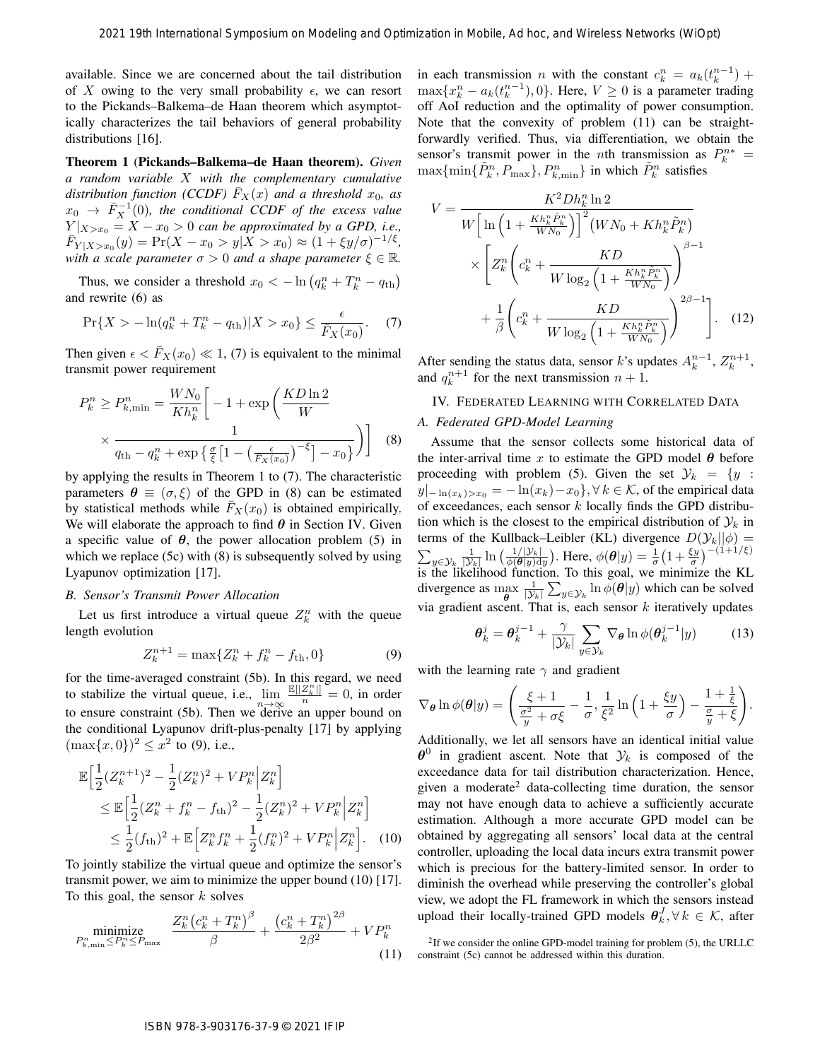available. Since we are concerned about the tail distribution of X owing to the very small probability  $\epsilon$ , we can resort to the Pickands–Balkema–de Haan theorem which asymptotically characterizes the tail behaviors of general probability distributions [16].

Theorem 1 (Pickands–Balkema–de Haan theorem). *Given a random variable* X *with the complementary cumulative distribution function (CCDF)*  $\overline{F}_X(x)$  *and a threshold*  $x_0$ *, as*  $x_0 \rightarrow \overline{F}_X^{-1}(0)$ , the conditional CCDF of the excess value  $Y|_{X>x_0} = X - x_0 > 0$  *can be approximated by a GPD, i.e.,*  $\overline{F}_{Y|X>x_0}(y) = \Pr(X - x_0 > y | \overline{X} > x_0) \approx (1 + \xi y/\sigma)^{-1/\xi},$ *with a scale parameter*  $\sigma > 0$  *and a shape parameter*  $\xi \in \mathbb{R}$ *.* 

Thus, we consider a threshold  $x_0 < -\ln (q_k^n + T_k^n - q_{\text{th}})$ and rewrite (6) as

$$
\Pr\{X > -\ln(q_k^n + T_k^n - q_{\text{th}})|X > x_0\} \le \frac{\epsilon}{\bar{F}_X(x_0)}.\tag{7}
$$

Then given  $\epsilon < \bar{F}_X(x_0) \ll 1$ , (7) is equivalent to the minimal transmit power requirement

$$
P_k^n \ge P_{k,\min}^n = \frac{WN_0}{Kh_k^n} \left[ -1 + \exp\left(\frac{KD\ln 2}{W}\right) \times \frac{1}{q_{\text{th}} - q_k^n + \exp\left\{ \frac{\sigma}{\xi} \left[ 1 - \left(\frac{\epsilon}{F_X(x_0)}\right)^{-\xi} \right] - x_0 \right\}} \right] \quad (8)
$$

by applying the results in Theorem 1 to (7). The characteristic parameters  $\theta \equiv (\sigma, \xi)$  of the GPD in (8) can be estimated by statistical methods while  $F_X(x_0)$  is obtained empirically. We will elaborate the approach to find  $\theta$  in Section IV. Given a specific value of  $\theta$ , the power allocation problem (5) in which we replace (5c) with (8) is subsequently solved by using Lyapunov optimization [17].

#### *B. Sensor's Transmit Power Allocation*

Let us first introduce a virtual queue  $Z_k^n$  with the queue length evolution

$$
Z_k^{n+1} = \max\{Z_k^n + f_k^n - f_{\text{th}}, 0\} \tag{9}
$$

for the time-averaged constraint (5b). In this regard, we need to stabilize the virtual queue, i.e.,  $\lim_{n\to\infty} \frac{\mathbb{E}[|Z_h^n|]}{n} = 0$ , in order to ensure constraint (5b). Then we derive an upper bound on the conditional Lyapunov drift-plus-penalty [17] by applying  $(\max\{x, 0\})^2 \le x^2$  to (9), i.e.,

$$
\mathbb{E}\Big[\frac{1}{2}(Z_k^{n+1})^2 - \frac{1}{2}(Z_k^n)^2 + VP_k^n \Big| Z_k^n\Big] \n\leq \mathbb{E}\Big[\frac{1}{2}(Z_k^n + f_k^n - f_{\text{th}})^2 - \frac{1}{2}(Z_k^n)^2 + VP_k^n \Big| Z_k^n\Big] \n\leq \frac{1}{2}(f_{\text{th}})^2 + \mathbb{E}\Big[Z_k^n f_k^n + \frac{1}{2}(f_k^n)^2 + VP_k^n \Big| Z_k^n\Big].
$$
\n(10)

To jointly stabilize the virtual queue and optimize the sensor's transmit power, we aim to minimize the upper bound (10) [17]. To this goal, the sensor  $k$  solves

$$
\underset{P_{k,\min}^n \le P_k^n \le P_{\max}}{\text{minimize}} \quad \frac{Z_k^n \left(c_k^n + T_k^n\right)^{\beta}}{\beta} + \frac{\left(c_k^n + T_k^n\right)^{2\beta}}{2\beta^2} + VP_k^n \tag{11}
$$

in each transmission *n* with the constant  $c_k^n = a_k(t_k^{n-1}) +$  $\max\{x_k^n - a_k(t_k^{n-1}), 0\}$ . Here,  $V \ge 0$  is a parameter trading off AoI reduction and the optimality of power consumption. Note that the convexity of problem (11) can be straightforwardly verified. Thus, via differentiation, we obtain the sensor's transmit power in the *n*th transmission as  $P_k^{n*}$  =  $\max\{\min\{\tilde{P}_k^n, P_{\text{max}}\}, P_{k,\text{min}}^n\}$  in which  $\tilde{P}_k^n$  satisfies

$$
V = \frac{K^2 Dh_k^n \ln 2}{W \left[ \ln \left( 1 + \frac{Kh_k^n \tilde{P}_k^n}{WN_0} \right) \right]^2 (WN_0 + Kh_k^n \tilde{P}_k^n)}
$$

$$
\times \left[ Z_k^n \left( c_k^n + \frac{KD}{W \log_2 \left( 1 + \frac{Kh_k^n \tilde{P}_k^n}{WN_0} \right)} \right)^{\beta - 1}
$$

$$
+ \frac{1}{\beta} \left( c_k^n + \frac{KD}{W \log_2 \left( 1 + \frac{Kh_k^n \tilde{P}_k^n}{WN_0} \right)} \right)^{2\beta - 1} \right]. \quad (12)
$$

After sending the status data, sensor k's updates  $A_k^{n-1}$ ,  $Z_k^{n+1}$ , and  $q_k^{n+1}$  for the next transmission  $n + 1$ .

#### IV. FEDERATED LEARNING WITH CORRELATED DATA

# *A. Federated GPD-Model Learning*

Assume that the sensor collects some historical data of the inter-arrival time x to estimate the GPD model  $\theta$  before proceeding with problem (5). Given the set  $\mathcal{Y}_k = \{y :$  $y|_{-\ln(x_k)>x_0} = -\ln(x_k)-x_0\}, \forall k \in \mathcal{K}$ , of the empirical data of exceedances, each sensor  $k$  locally finds the GPD distribution which is the closest to the empirical distribution of  $\mathcal{Y}_k$  in terms of the Kullback–Leibler (KL) divergence  $D(\mathcal{Y}_k||\phi) =$  $\sum_{y \in \mathcal{Y}_k} \frac{1}{|\mathcal{Y}_k|} \ln \left( \frac{1/|\mathcal{Y}_k|}{\phi(\theta|y)dy} \right)$ . Here,  $\phi(\theta|y) = \frac{1}{\sigma} \left( 1 + \frac{\xi y}{\sigma} \right)^{-(1+1/\xi)}$ is the likelihood function. To this goal, we minimize the KL divergence as  $\max_{\theta}$  $\frac{1}{|\mathcal{Y}_k|} \sum_{y \in \mathcal{Y}_k} \ln \phi(\boldsymbol{\theta}|y)$  which can be solved via gradient ascent. That is, each sensor  $k$  iteratively updates

$$
\boldsymbol{\theta}_k^j = \boldsymbol{\theta}_k^{j-1} + \frac{\gamma}{|\mathcal{Y}_k|} \sum_{y \in \mathcal{Y}_k} \nabla_{\boldsymbol{\theta}} \ln \phi(\boldsymbol{\theta}_k^{j-1} | y)
$$
(13)

with the learning rate  $\gamma$  and gradient

$$
\nabla_{\theta} \ln \phi(\theta | y) = \left( \frac{\xi + 1}{\frac{\sigma^2}{y} + \sigma \xi} - \frac{1}{\sigma}, \frac{1}{\xi^2} \ln \left( 1 + \frac{\xi y}{\sigma} \right) - \frac{1 + \frac{1}{\xi}}{\frac{\sigma}{y} + \xi} \right).
$$

Additionally, we let all sensors have an identical initial value  $\theta^0$  in gradient ascent. Note that  $\mathcal{Y}_k$  is composed of the exceedance data for tail distribution characterization. Hence, given a moderate<sup>2</sup> data-collecting time duration, the sensor may not have enough data to achieve a sufficiently accurate estimation. Although a more accurate GPD model can be obtained by aggregating all sensors' local data at the central controller, uploading the local data incurs extra transmit power which is precious for the battery-limited sensor. In order to diminish the overhead while preserving the controller's global view, we adopt the FL framework in which the sensors instead upload their locally-trained GPD models  $\theta_k^J, \forall k \in \mathcal{K}$ , after 2021 19th International Symposium on Modeling and Optimization Fiscal Reservoir with the symposium of the symposium of the symposium of the symposium of the symposium of the symposium of the symposium of the symposium of

 $2$ If we consider the online GPD-model training for problem (5), the URLLC constraint (5c) cannot be addressed within this duration.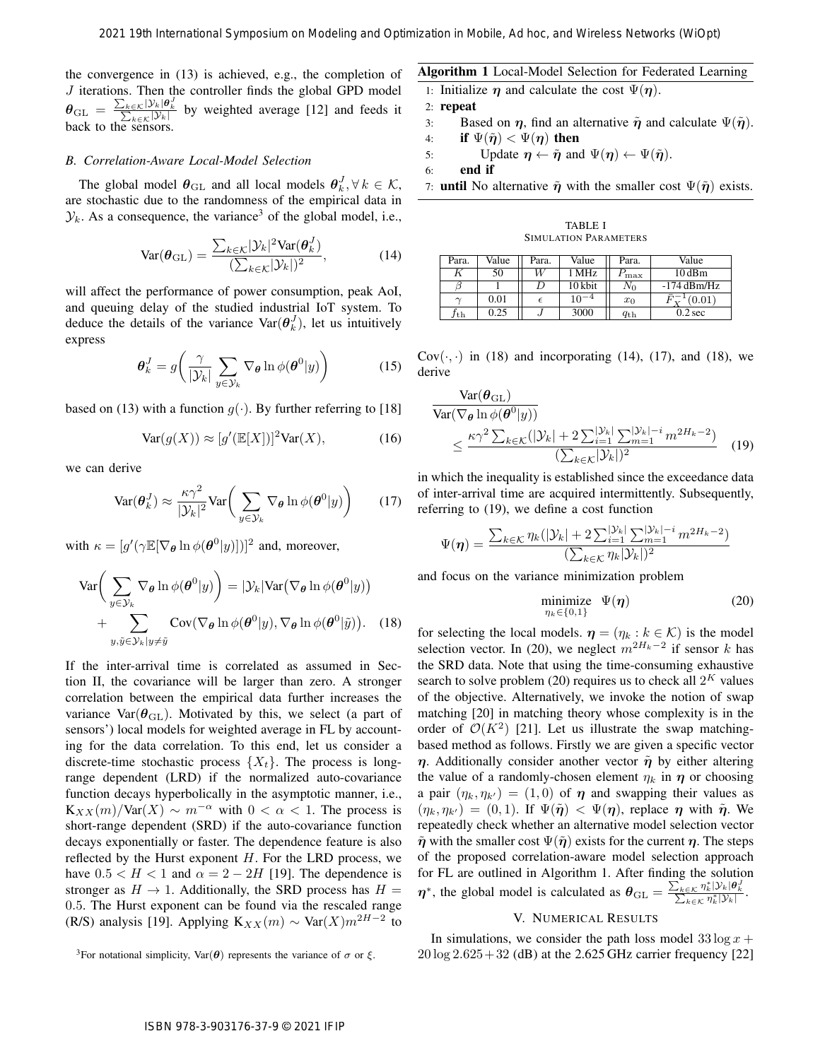the convergence in (13) is achieved, e.g., the completion of  $J$  iterations. Then the controller finds the global GPD model  $\theta_{\text{GL}} = \frac{\sum_{k \in \mathcal{K}} |\mathcal{Y}_k| \theta_k^T}{\sum_{k \in \mathcal{K}} |\mathcal{Y}_k|}$  by weighted average [12] and feeds it back to the sensors.

#### *B. Correlation-Aware Local-Model Selection*

The global model  $\boldsymbol{\theta}_{\text{GL}}$  and all local models  $\boldsymbol{\theta}_k^J, \forall k \in \mathcal{K}$ , are stochastic due to the randomness of the empirical data in  $\mathcal{Y}_k$ . As a consequence, the variance<sup>3</sup> of the global model, i.e.,

$$
\text{Var}(\boldsymbol{\theta}_{\text{GL}}) = \frac{\sum_{k \in \mathcal{K}} |\mathcal{Y}_k|^2 \text{Var}(\boldsymbol{\theta}_k^J)}{(\sum_{k \in \mathcal{K}} |\mathcal{Y}_k|)^2},\tag{14}
$$

will affect the performance of power consumption, peak AoI, and queuing delay of the studied industrial IoT system. To deduce the details of the variance  $\text{Var}(\theta_k^J)$ , let us intuitively express

$$
\boldsymbol{\theta}_k^J = g\bigg(\frac{\gamma}{|\mathcal{Y}_k|} \sum_{y \in \mathcal{Y}_k} \nabla_{\boldsymbol{\theta}} \ln \phi(\boldsymbol{\theta}^0|y)\bigg) \tag{15}
$$

based on (13) with a function  $g(\cdot)$ . By further referring to [18]

$$
Var(g(X)) \approx [g'(\mathbb{E}[X])]^{2}Var(X), \tag{16}
$$

we can derive

$$
\text{Var}(\boldsymbol{\theta}_k^J) \approx \frac{\kappa \gamma^2}{|\mathcal{Y}_k|^2} \text{Var}\bigg(\sum_{y \in \mathcal{Y}_k} \nabla_{\boldsymbol{\theta}} \ln \phi(\boldsymbol{\theta}^0 | y)\bigg) \qquad (17)
$$

with  $\kappa = [g'(\gamma \mathbb{E}[\nabla_{\theta} \ln \phi(\theta^0 | y)])]^2$  and, moreover,

$$
\operatorname{Var}\bigg(\sum_{y\in\mathcal{Y}_k} \nabla_{\theta} \ln \phi(\theta^0 | y)\bigg) = |\mathcal{Y}_k| \operatorname{Var}\big(\nabla_{\theta} \ln \phi(\theta^0 | y)\big) + \sum_{y,\tilde{y}\in\mathcal{Y}_k|y\neq\tilde{y}} \operatorname{Cov}(\nabla_{\theta} \ln \phi(\theta^0 | y), \nabla_{\theta} \ln \phi(\theta^0 | \tilde{y})).
$$
 (18)

If the inter-arrival time is correlated as assumed in Section II, the covariance will be larger than zero. A stronger correlation between the empirical data further increases the variance Var $(\theta_{\text{GL}})$ . Motivated by this, we select (a part of sensors') local models for weighted average in FL by accounting for the data correlation. To this end, let us consider a discrete-time stochastic process  $\{X_t\}$ . The process is longrange dependent (LRD) if the normalized auto-covariance function decays hyperbolically in the asymptotic manner, i.e.,  $K_{XX}(m)/\text{Var}(X) \sim m^{-\alpha}$  with  $0 < \alpha < 1$ . The process is short-range dependent (SRD) if the auto-covariance function decays exponentially or faster. The dependence feature is also reflected by the Hurst exponent  $H$ . For the LRD process, we have  $0.5 < H < 1$  and  $\alpha = 2 - 2H$  [19]. The dependence is stronger as  $H \to 1$ . Additionally, the SRD process has  $H =$ 0.5. The Hurst exponent can be found via the rescaled range (R/S) analysis [19]. Applying  $K_{XX}(m) \sim \text{Var}(X) m^{2H-2}$  to

# Algorithm 1 Local-Model Selection for Federated Learning

- 1: Initialize  $\eta$  and calculate the cost  $\Psi(\eta)$ .
- 2: repeat
- 3: Based on  $\eta$ , find an alternative  $\tilde{\eta}$  and calculate  $\Psi(\tilde{\eta})$ .
- 4: if  $\Psi(\tilde{\boldsymbol{\eta}}) < \Psi(\boldsymbol{\eta})$  then
- 5: Update  $\eta \leftarrow \tilde{\eta}$  and  $\Psi(\eta) \leftarrow \Psi(\tilde{\eta})$ .

6: end if

7: **until** No alternative  $\tilde{\eta}$  with the smaller cost  $\Psi(\tilde{\eta})$  exists.

TABLE I SIMULATION PARAMETERS

| Para.        | Value | Para. | Value     | Para.        | Value              |
|--------------|-------|-------|-----------|--------------|--------------------|
|              | 50    | W     | l MHz     | max          | $10\,\mathrm{dBm}$ |
|              |       |       | 10 kbit   | $N_0$        | $-174$ dBm/Hz      |
|              | 0.01  |       | $10^{-4}$ | $x_0$        | [0.01]             |
| $f_{\rm th}$ | 0.25  |       | 3000      | $q_{\rm th}$ | $0.2$ sec          |

 $Cov(\cdot, \cdot)$  in (18) and incorporating (14), (17), and (18), we derive

$$
\frac{\text{Var}(\boldsymbol{\theta}_{\text{GL}})}{\text{Var}(\nabla_{\boldsymbol{\theta}} \ln \phi(\boldsymbol{\theta}^0 | y))}
$$
\n
$$
\leq \frac{\kappa \gamma^2 \sum_{k \in \mathcal{K}} (|\mathcal{Y}_k| + 2 \sum_{i=1}^{|\mathcal{Y}_k|} \sum_{m=1}^{|\mathcal{Y}_k| - i} m^{2H_k - 2})}{(\sum_{k \in \mathcal{K}} |\mathcal{Y}_k|)^2} \tag{19}
$$

in which the inequality is established since the exceedance data of inter-arrival time are acquired intermittently. Subsequently, referring to (19), we define a cost function

$$
\Psi(\eta) = \frac{\sum_{k \in \mathcal{K}} \eta_k (|\mathcal{Y}_k| + 2 \sum_{i=1}^{|\mathcal{Y}_k|} \sum_{m=1}^{|\mathcal{Y}_k| - i} m^{2H_k - 2})}{(\sum_{k \in \mathcal{K}} \eta_k |\mathcal{Y}_k|)^2}
$$

and focus on the variance minimization problem

$$
\underset{\eta_k \in \{0,1\}}{\text{minimize}} \quad \Psi(\boldsymbol{\eta}) \tag{20}
$$

for selecting the local models.  $\boldsymbol{\eta} = (\eta_k : k \in \mathcal{K})$  is the model selection vector. In (20), we neglect  $m^{2H_k-2}$  if sensor k has the SRD data. Note that using the time-consuming exhaustive search to solve problem (20) requires us to check all  $2^K$  values of the objective. Alternatively, we invoke the notion of swap matching [20] in matching theory whose complexity is in the order of  $\mathcal{O}(K^2)$  [21]. Let us illustrate the swap matchingbased method as follows. Firstly we are given a specific vector  $\eta$ . Additionally consider another vector  $\tilde{\eta}$  by either altering the value of a randomly-chosen element  $\eta_k$  in  $\eta$  or choosing a pair  $(\eta_k, \eta_{k'}) = (1, 0)$  of  $\eta$  and swapping their values as  $(\eta_k, \eta_{k'}) = (0, 1)$ . If  $\Psi(\tilde{\eta}) < \Psi(\eta)$ , replace  $\eta$  with  $\tilde{\eta}$ . We repeatedly check whether an alternative model selection vector  $\tilde{\eta}$  with the smaller cost  $\Psi(\tilde{\eta})$  exists for the current  $\eta$ . The steps of the proposed correlation-aware model selection approach for FL are outlined in Algorithm 1. After finding the solution  $\eta^*$ , the global model is calculated as  $\theta_{\text{GL}} = \frac{\sum_{k \in \mathcal{K}} \eta_k^* |\mathcal{Y}_k| \theta_k^T}{\sum_{k \in \mathcal{K}} \eta_k^* |\mathcal{Y}_k|}$ . 2021 19th International Symposium on Modeling and Optimization in Modeling According According and (11) in Advisor Control in Modeling and the symposium of Mobile and Wireless Network (2) by the symposium of Modeling and

# V. NUMERICAL RESULTS

In simulations, we consider the path loss model  $33 \log x +$  $20 \log 2.625 + 32$  (dB) at the 2.625 GHz carrier frequency [22]

<sup>&</sup>lt;sup>3</sup>For notational simplicity, Var( $\theta$ ) represents the variance of  $\sigma$  or  $\xi$ .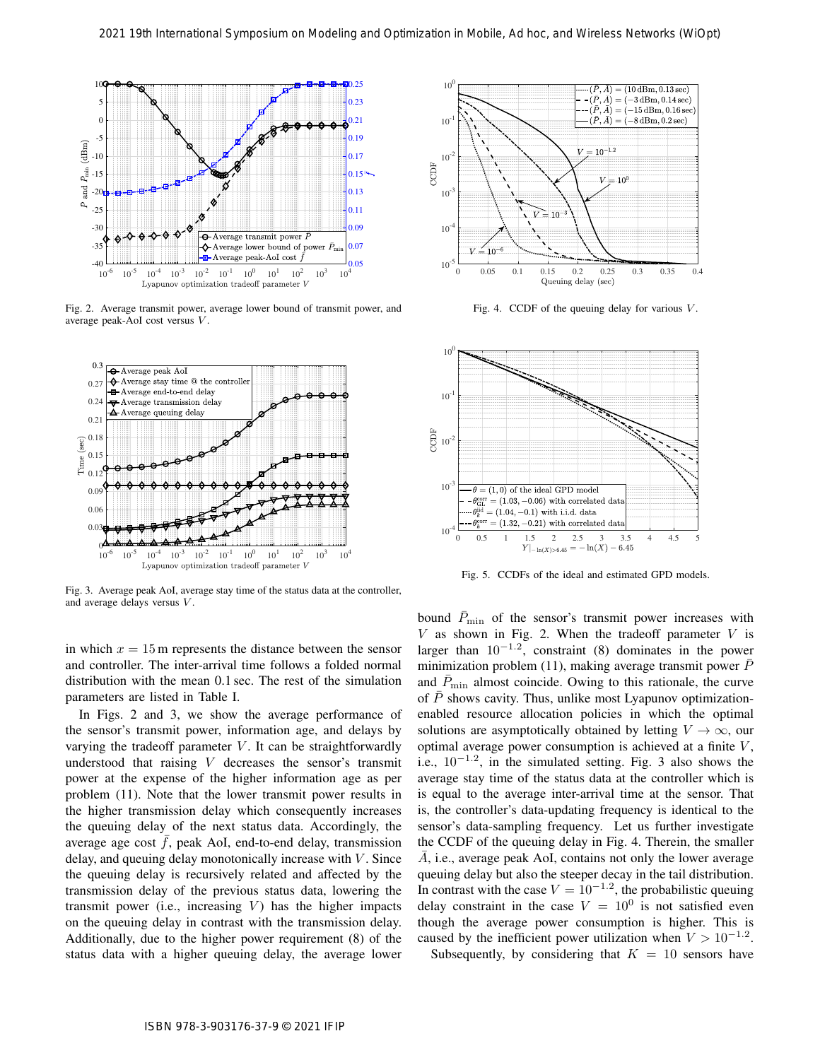

Fig. 2. Average transmit power, average lower bound of transmit power, and average peak-AoI cost versus V.



Fig. 3. Average peak AoI, average stay time of the status data at the controller, and average delays versus V.

in which  $x = 15$  m represents the distance between the sensor and controller. The inter-arrival time follows a folded normal distribution with the mean 0.1 sec. The rest of the simulation parameters are listed in Table I.

In Figs. 2 and 3, we show the average performance of the sensor's transmit power, information age, and delays by varying the tradeoff parameter  $V$ . It can be straightforwardly understood that raising V decreases the sensor's transmit power at the expense of the higher information age as per problem (11). Note that the lower transmit power results in the higher transmission delay which consequently increases the queuing delay of the next status data. Accordingly, the average age cost  $f$ , peak AoI, end-to-end delay, transmission delay, and queuing delay monotonically increase with  $V$ . Since the queuing delay is recursively related and affected by the transmission delay of the previous status data, lowering the transmit power (i.e., increasing  $V$ ) has the higher impacts on the queuing delay in contrast with the transmission delay. Additionally, due to the higher power requirement (8) of the status data with a higher queuing delay, the average lower



Fig. 4. CCDF of the queuing delay for various  $V$ .



Fig. 5. CCDFs of the ideal and estimated GPD models.

bound  $\bar{P}_{\text{min}}$  of the sensor's transmit power increases with  $V$  as shown in Fig. 2. When the tradeoff parameter  $V$  is larger than  $10^{-1.2}$ , constraint (8) dominates in the power minimization problem (11), making average transmit power  $\overline{P}$ and  $\bar{P}_{\text{min}}$  almost coincide. Owing to this rationale, the curve of  $P$  shows cavity. Thus, unlike most Lyapunov optimizationenabled resource allocation policies in which the optimal solutions are asymptotically obtained by letting  $V \to \infty$ , our optimal average power consumption is achieved at a finite  $V$ , i.e.,  $10^{-1.2}$ , in the simulated setting. Fig. 3 also shows the average stay time of the status data at the controller which is is equal to the average inter-arrival time at the sensor. That is, the controller's data-updating frequency is identical to the sensor's data-sampling frequency. Let us further investigate the CCDF of the queuing delay in Fig. 4. Therein, the smaller A, i.e., average peak AoI, contains not only the lower average queuing delay but also the steeper decay in the tail distribution. In contrast with the case  $V = 10^{-1.2}$ , the probabilistic queuing delay constraint in the case  $V = 10^0$  is not satisfied even though the average power consumption is higher. This is caused by the inefficient power utilization when  $V > 10^{-1.2}$ . 2021 19th International Symposium on Modeling and Optimization in Modeling and Contents Optimization in Modeling and Optimization in Modeling and Optimization in Modeling and Optimization in Modeling and Optimization in M

Subsequently, by considering that  $K = 10$  sensors have